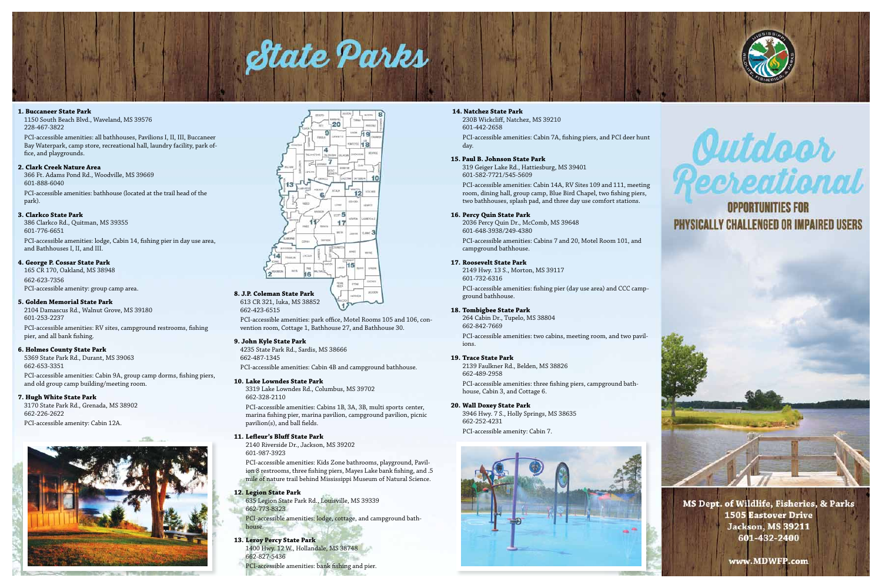# State Parks

#### **1. Buccaneer State Park**

1150 South Beach Blvd., Waveland, MS 39576 228-467-3822

PCI-accessible amenities: all bathhouses, Pavilions I, II, III, Buccaneer Bay Waterpark, camp store, recreational hall, laundry facility, park office, and playgrounds.

#### **2. Clark Creek Nature Area**

366 Ft. Adams Pond Rd., Woodville, MS 39669 601-888-6040

PCI-accessible amenities: bathhouse (located at the trail head of the park).

#### **3. Clarkco State Park**

386 Clarkco Rd., Quitman, MS 39355 601-776-6651

PCI-accessible amenities: lodge, Cabin 14, fishing pier in day use area, and Bathhouses I, II, and III.

#### **4. George P. Cossar State Park**

165 CR 170, Oakland, MS 38948 662-623-7356 PCI-accessible amenity: group camp area.

#### **5. Golden Memorial State Park**

2104 Damascus Rd., Walnut Grove, MS 39180 601-253-2237 PCI-accessible amenities: RV sites, campground restrooms, fishing pier, and all bank fishing.

#### **6. Holmes County State Park**

5369 State Park Rd., Durant, MS 39063 662-653-3351

PCI-accessible amenities: Cabin 9A, group camp dorms, fishing piers, and old group camp building/meeting room.

#### **7. Hugh White State Park**

3170 State Park Rd., Grenada, MS 38902 662-226-2622

PCI-accessible amenity: Cabin 12A.





662-423-6515

PCI-accessible amenities: park office, Motel Rooms 105 and 106, convention room, Cottage 1, Bathhouse 27, and Bathhouse 30.

#### **9. John Kyle State Park**

4235 State Park Rd., Sardis, MS 38666 662-487-1345

PCI-accessible amenities: Cabin 4B and campground bathhouse.

#### **10. Lake Lowndes State Park**

3319 Lake Lowndes Rd., Columbus, MS 39702 662-328-2110

PCI-accessible amenities: Cabins 1B, 3A, 3B, multi sports center, marina fishing pier, marina pavilion, campground pavilion, picnic pavilion(s), and ball fields.

#### **11. Lefleur's Bluff State Park**

2140 Riverside Dr., Jackson, MS 39202 601-987-3923

PCI-accessible amenities: Kids Zone bathrooms, playground, Pavilion 8 restrooms, three fishing piers, Mayes Lake bank fishing, and .5 mile of nature trail behind Mississippi Museum of Natural Science.

#### **12. Legion State Park**

635 Legion State Park Rd., Louisville, MS 39339 662-773-8323

PCI-accessible amenities: lodge, cottage, and campground bathhouse.

#### **13. Leroy Percy State Park**

1400 Hwy. 12 W., Hollandale, MS 38748 662-827-5436

PCI-accessible amenities: bank fishing and pier.

#### **14. Natchez State Park**

230B Wickcliff, Natchez, MS 39210 601-442-2658 PCI-accessible amenities: Cabin 7A, fishing piers, and PCI deer hunt day.

#### **15. Paul B. Johnson State Park**

319 Geiger Lake Rd., Hattiesburg, MS 39401 601-582-7721/545-5609

PCI-accessible amenities: Cabin 14A, RV Sites 109 and 111, meeting room, dining hall, group camp, Blue Bird Chapel, two fishing piers, two bathhouses, splash pad, and three day use comfort stations.

#### **16. Percy Quin State Park**

2036 Percy Quin Dr., McComb, MS 39648 601-648-3938/249-4380 PCI-accessible amenities: Cabins 7 and 20, Motel Room 101, and campground bathhouse.

**17. Roosevelt State Park**

2149 Hwy. 13 S., Morton, MS 39117 601-732-6316

PCI-accessible amenities: fishing pier (day use area) and CCC campground bathhouse.

#### **18. Tombigbee State Park**

264 Cabin Dr., Tupelo, MS 38804 662-842-7669 PCI-accessible amenities: two cabins, meeting room, and two pavil-

ions.

#### **19. Trace State Park**

2139 Faulkner Rd., Belden, MS 38826 662-489-2958

PCI-accessible amenities: three fishing piers, campground bathhouse, Cabin 3, and Cottage 6.

#### **20. Wall Doxey State Park**

3946 Hwy. 7 S., Holly Springs, MS 38635 662-252-4231 PCI-accessible amenity: Cabin 7.







# **OPPORTUNITIES FOR** PHYSICALLY CHALLENGED OR IMPAIRED USERS



**1505 Eastover Drive Jackson**, MS 39211 601-432-2400

www.MDWFP.com